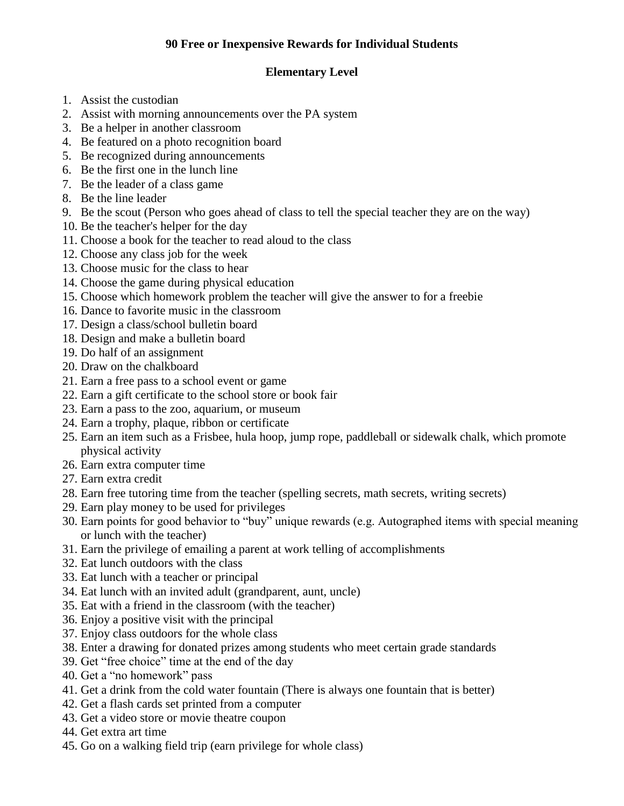## **90 Free or Inexpensive Rewards for Individual Students**

## **Elementary Level**

- 1. Assist the custodian
- 2. Assist with morning announcements over the PA system
- 3. Be a helper in another classroom
- 4. Be featured on a photo recognition board
- 5. Be recognized during announcements
- 6. Be the first one in the lunch line
- 7. Be the leader of a class game
- 8. Be the line leader
- 9. Be the scout (Person who goes ahead of class to tell the special teacher they are on the way)
- 10. Be the teacher's helper for the day
- 11. Choose a book for the teacher to read aloud to the class
- 12. Choose any class job for the week
- 13. Choose music for the class to hear
- 14. Choose the game during physical education
- 15. Choose which homework problem the teacher will give the answer to for a freebie
- 16. Dance to favorite music in the classroom
- 17. Design a class/school bulletin board
- 18. Design and make a bulletin board
- 19. Do half of an assignment
- 20. Draw on the chalkboard
- 21. Earn a free pass to a school event or game
- 22. Earn a gift certificate to the school store or book fair
- 23. Earn a pass to the zoo, aquarium, or museum
- 24. Earn a trophy, plaque, ribbon or certificate
- 25. Earn an item such as a Frisbee, hula hoop, jump rope, paddleball or sidewalk chalk, which promote physical activity
- 26. Earn extra computer time
- 27. Earn extra credit
- 28. Earn free tutoring time from the teacher (spelling secrets, math secrets, writing secrets)
- 29. Earn play money to be used for privileges
- 30. Earn points for good behavior to "buy" unique rewards (e.g. Autographed items with special meaning or lunch with the teacher)
- 31. Earn the privilege of emailing a parent at work telling of accomplishments
- 32. Eat lunch outdoors with the class
- 33. Eat lunch with a teacher or principal
- 34. Eat lunch with an invited adult (grandparent, aunt, uncle)
- 35. Eat with a friend in the classroom (with the teacher)
- 36. Enjoy a positive visit with the principal
- 37. Enjoy class outdoors for the whole class
- 38. Enter a drawing for donated prizes among students who meet certain grade standards
- 39. Get "free choice" time at the end of the day
- 40. Get a "no homework" pass
- 41. Get a drink from the cold water fountain (There is always one fountain that is better)
- 42. Get a flash cards set printed from a computer
- 43. Get a video store or movie theatre coupon
- 44. Get extra art time
- 45. Go on a walking field trip (earn privilege for whole class)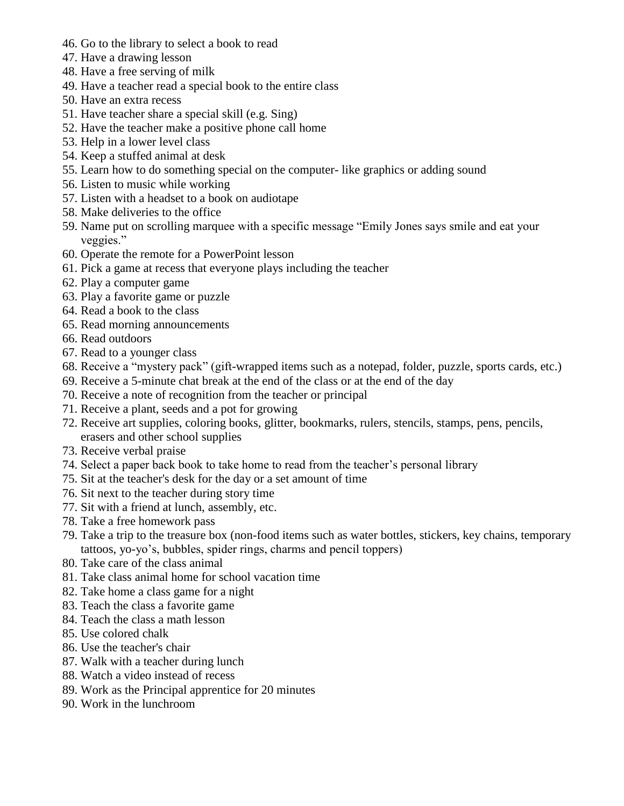- 46. Go to the library to select a book to read
- 47. Have a drawing lesson
- 48. Have a free serving of milk
- 49. Have a teacher read a special book to the entire class
- 50. Have an extra recess
- 51. Have teacher share a special skill (e.g. Sing)
- 52. Have the teacher make a positive phone call home
- 53. Help in a lower level class
- 54. Keep a stuffed animal at desk
- 55. Learn how to do something special on the computer- like graphics or adding sound
- 56. Listen to music while working
- 57. Listen with a headset to a book on audiotape
- 58. Make deliveries to the office
- 59. Name put on scrolling marquee with a specific message "Emily Jones says smile and eat your veggies."
- 60. Operate the remote for a PowerPoint lesson
- 61. Pick a game at recess that everyone plays including the teacher
- 62. Play a computer game
- 63. Play a favorite game or puzzle
- 64. Read a book to the class
- 65. Read morning announcements
- 66. Read outdoors
- 67. Read to a younger class
- 68. Receive a "mystery pack" (gift-wrapped items such as a notepad, folder, puzzle, sports cards, etc.)
- 69. Receive a 5-minute chat break at the end of the class or at the end of the day
- 70. Receive a note of recognition from the teacher or principal
- 71. Receive a plant, seeds and a pot for growing
- 72. Receive art supplies, coloring books, glitter, bookmarks, rulers, stencils, stamps, pens, pencils, erasers and other school supplies
- 73. Receive verbal praise
- 74. Select a paper back book to take home to read from the teacher's personal library
- 75. Sit at the teacher's desk for the day or a set amount of time
- 76. Sit next to the teacher during story time
- 77. Sit with a friend at lunch, assembly, etc.
- 78. Take a free homework pass
- 79. Take a trip to the treasure box (non-food items such as water bottles, stickers, key chains, temporary tattoos, yo-yo's, bubbles, spider rings, charms and pencil toppers)
- 80. Take care of the class animal
- 81. Take class animal home for school vacation time
- 82. Take home a class game for a night
- 83. Teach the class a favorite game
- 84. Teach the class a math lesson
- 85. Use colored chalk
- 86. Use the teacher's chair
- 87. Walk with a teacher during lunch
- 88. Watch a video instead of recess
- 89. Work as the Principal apprentice for 20 minutes
- 90. Work in the lunchroom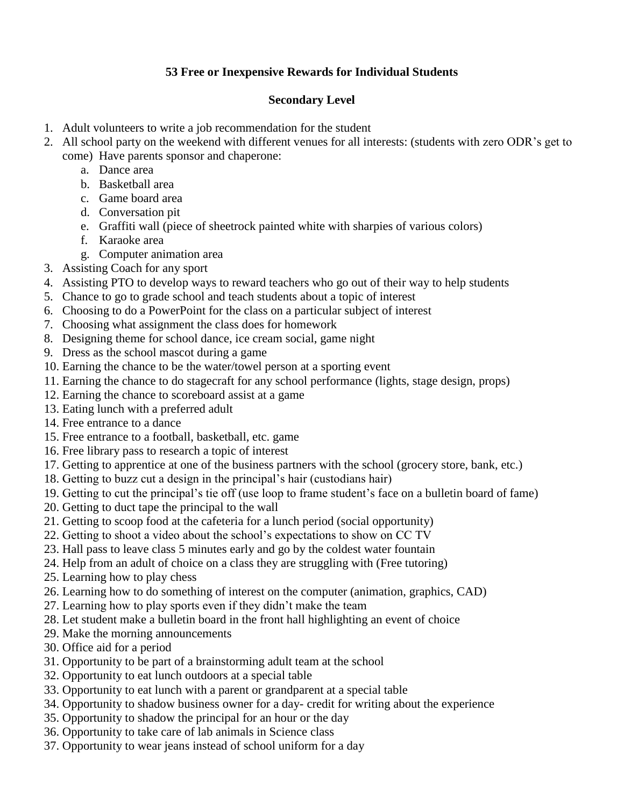# **53 Free or Inexpensive Rewards for Individual Students**

#### **Secondary Level**

- 1. Adult volunteers to write a job recommendation for the student
- 2. All school party on the weekend with different venues for all interests: (students with zero ODR's get to come) Have parents sponsor and chaperone:
	- a. Dance area
	- b. Basketball area
	- c. Game board area
	- d. Conversation pit
	- e. Graffiti wall (piece of sheetrock painted white with sharpies of various colors)
	- f. Karaoke area
	- g. Computer animation area
- 3. Assisting Coach for any sport
- 4. Assisting PTO to develop ways to reward teachers who go out of their way to help students
- 5. Chance to go to grade school and teach students about a topic of interest
- 6. Choosing to do a PowerPoint for the class on a particular subject of interest
- 7. Choosing what assignment the class does for homework
- 8. Designing theme for school dance, ice cream social, game night
- 9. Dress as the school mascot during a game
- 10. Earning the chance to be the water/towel person at a sporting event
- 11. Earning the chance to do stagecraft for any school performance (lights, stage design, props)
- 12. Earning the chance to scoreboard assist at a game
- 13. Eating lunch with a preferred adult
- 14. Free entrance to a dance
- 15. Free entrance to a football, basketball, etc. game
- 16. Free library pass to research a topic of interest
- 17. Getting to apprentice at one of the business partners with the school (grocery store, bank, etc.)
- 18. Getting to buzz cut a design in the principal's hair (custodians hair)
- 19. Getting to cut the principal's tie off (use loop to frame student's face on a bulletin board of fame)
- 20. Getting to duct tape the principal to the wall
- 21. Getting to scoop food at the cafeteria for a lunch period (social opportunity)
- 22. Getting to shoot a video about the school's expectations to show on CC TV
- 23. Hall pass to leave class 5 minutes early and go by the coldest water fountain
- 24. Help from an adult of choice on a class they are struggling with (Free tutoring)
- 25. Learning how to play chess
- 26. Learning how to do something of interest on the computer (animation, graphics, CAD)
- 27. Learning how to play sports even if they didn't make the team
- 28. Let student make a bulletin board in the front hall highlighting an event of choice
- 29. Make the morning announcements
- 30. Office aid for a period
- 31. Opportunity to be part of a brainstorming adult team at the school
- 32. Opportunity to eat lunch outdoors at a special table
- 33. Opportunity to eat lunch with a parent or grandparent at a special table
- 34. Opportunity to shadow business owner for a day- credit for writing about the experience
- 35. Opportunity to shadow the principal for an hour or the day
- 36. Opportunity to take care of lab animals in Science class
- 37. Opportunity to wear jeans instead of school uniform for a day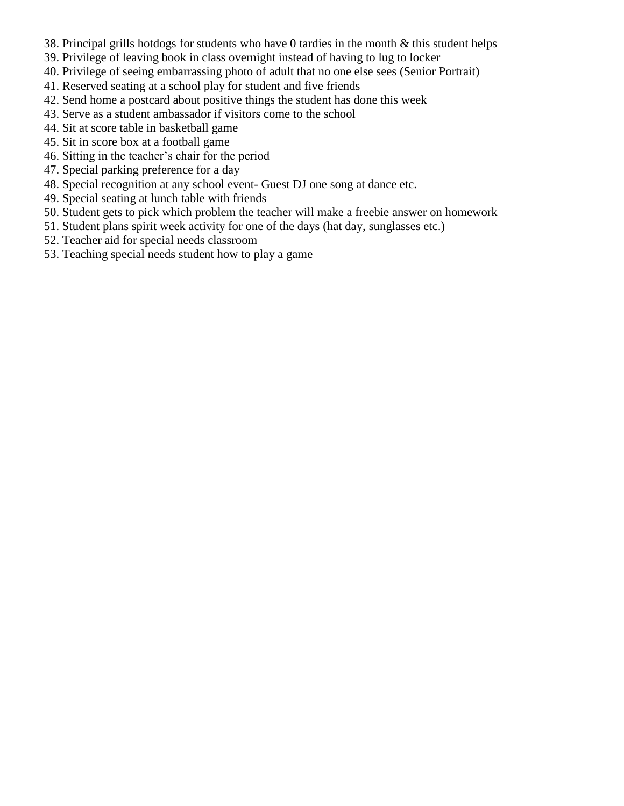- 38. Principal grills hotdogs for students who have 0 tardies in the month & this student helps
- 39. Privilege of leaving book in class overnight instead of having to lug to locker
- 40. Privilege of seeing embarrassing photo of adult that no one else sees (Senior Portrait)
- 41. Reserved seating at a school play for student and five friends
- 42. Send home a postcard about positive things the student has done this week
- 43. Serve as a student ambassador if visitors come to the school
- 44. Sit at score table in basketball game
- 45. Sit in score box at a football game
- 46. Sitting in the teacher's chair for the period
- 47. Special parking preference for a day
- 48. Special recognition at any school event- Guest DJ one song at dance etc.
- 49. Special seating at lunch table with friends
- 50. Student gets to pick which problem the teacher will make a freebie answer on homework
- 51. Student plans spirit week activity for one of the days (hat day, sunglasses etc.)
- 52. Teacher aid for special needs classroom
- 53. Teaching special needs student how to play a game